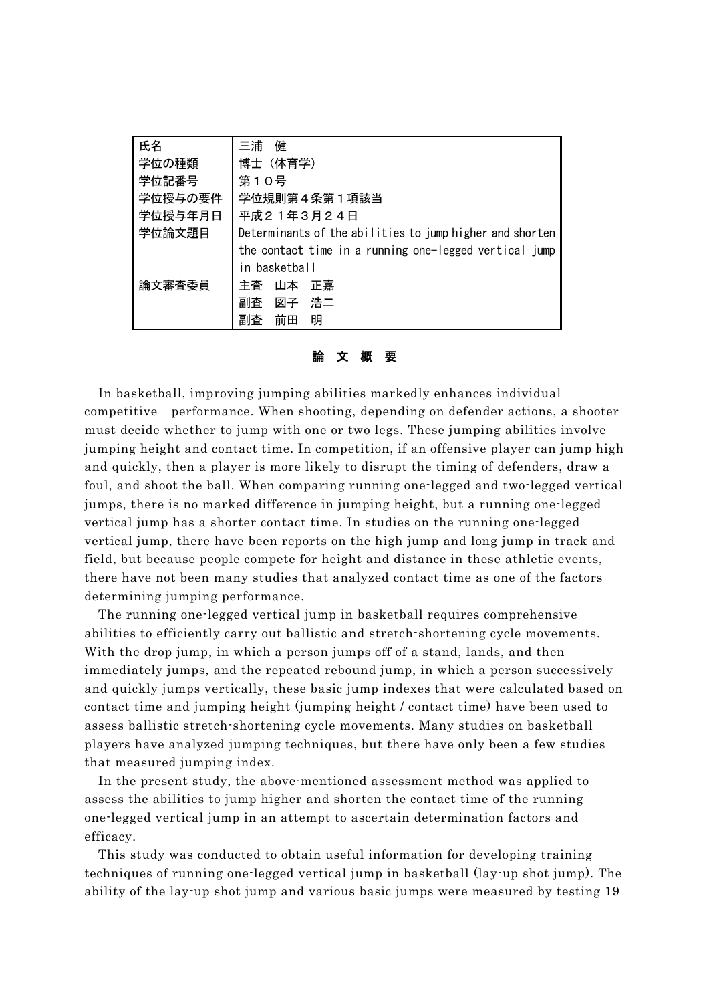| 氏名      | 三浦<br>健                                                  |
|---------|----------------------------------------------------------|
| 学位の種類   | 博士(体育学)                                                  |
| 学位記番号   | 第10号                                                     |
| 学位授与の要件 | 学位規則第4条第1項該当                                             |
| 学位授与年月日 | 平成21年3月24日                                               |
| 学位論文題目  | Determinants of the abilities to jump higher and shorten |
|         | the contact time in a running one-legged vertical jump   |
|         | in basketball                                            |
| 論文審査委員  | 主杳<br>正嘉<br>山本                                           |
|         | 浩二<br>副査<br>図子                                           |
|         | 明<br>副査<br>前田                                            |

論 文 概 要

In basketball, improving jumping abilities markedly enhances individual competitive performance. When shooting, depending on defender actions, a shooter must decide whether to jump with one or two legs. These jumping abilities involve jumping height and contact time. In competition, if an offensive player can jump high and quickly, then a player is more likely to disrupt the timing of defenders, draw a foul, and shoot the ball. When comparing running one-legged and two-legged vertical jumps, there is no marked difference in jumping height, but a running one-legged vertical jump has a shorter contact time. In studies on the running one-legged vertical jump, there have been reports on the high jump and long jump in track and field, but because people compete for height and distance in these athletic events, there have not been many studies that analyzed contact time as one of the factors determining jumping performance.

The running one-legged vertical jump in basketball requires comprehensive abilities to efficiently carry out ballistic and stretch-shortening cycle movements. With the drop jump, in which a person jumps off of a stand, lands, and then immediately jumps, and the repeated rebound jump, in which a person successively and quickly jumps vertically, these basic jump indexes that were calculated based on contact time and jumping height (jumping height / contact time) have been used to assess ballistic stretch-shortening cycle movements. Many studies on basketball players have analyzed jumping techniques, but there have only been a few studies that measured jumping index.

In the present study, the above-mentioned assessment method was applied to assess the abilities to jump higher and shorten the contact time of the running one-legged vertical jump in an attempt to ascertain determination factors and efficacy.

This study was conducted to obtain useful information for developing training techniques of running one-legged vertical jump in basketball (lay-up shot jump). The ability of the lay-up shot jump and various basic jumps were measured by testing 19